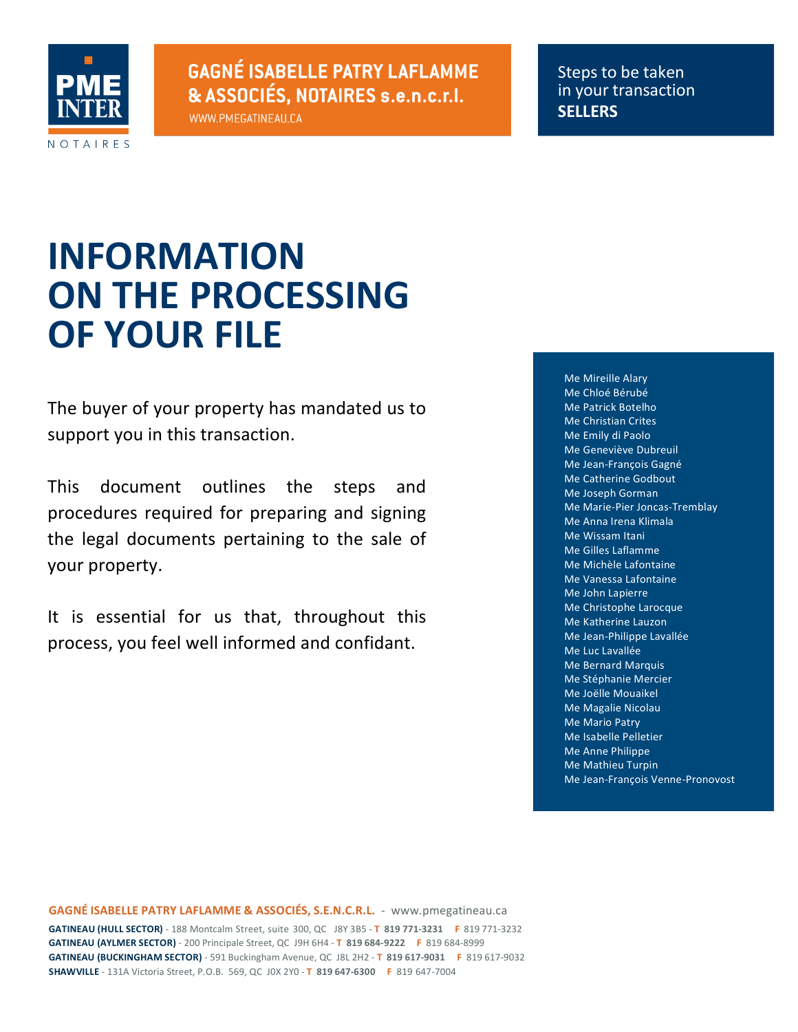

**GAGNÉ ISABELLE PATRY LAFLAMME** & ASSOCIÉS, NOTAIRES s.e.n.c.r.l.

WWW.PMEGATINEAU.CA

Steps to be taken in your transaction **SELLERS**

## **INFORMATION ON THE PROCESSING OF YOUR FILE**

The buyer of your property has mandated us to support you in this transaction.

This document outlines the steps and procedures required for preparing and signing the legal documents pertaining to the sale of your property.

It is essential for us that, throughout this process, you feel well informed and confidant.

Me Mireille Alary Me Chloé Bérubé Me Patrick Botelho Me Christian Crites Me Emily di Paolo Me Geneviève Dubreuil Me Jean-François Gagné Me Catherine Godbout Me Joseph Gorman Me Marie-Pier Joncas-Tremblay Me Anna Irena Klimala Me Wissam Itani Me Gilles Laflamme Me Michèle Lafontaine Me Vanessa Lafontaine Me John Lapierre Me Christophe Larocque Me Katherine Lauzon Me Jean-Philippe Lavallée Me Luc Lavallée Me Bernard Marquis Me Stéphanie Mercier Me Joëlle Mouaikel Me Magalie Nicolau **Me Mario Patry** Me Isabelle Pelletier Me Anne Philippe Me Mathieu Turpin Me Jean-François Venne-Pronovost

**GAGNÉ ISABELLE PATRY LAFLAMME & ASSOCIÉS, S.E.N.C.R.L.** - www.pmegatineau.ca **GATINEAU (HULL SECTOR)** - 188 Montcalm Street, suite 300, QC J8Y 3B5 - T 819 771-3231 **F** 819 771-3232 **GATINEAU (AYLMER SECTOR)** - 200 Principale Street, QC J9H 6H4 - **T 819 684-9222 F 819 684-8999 GATINEAU (BUCKINGHAM SECTOR)** - 591 Buckingham Avenue, QC J8L 2H2 - T 819 617-9031 F 819 617-9032 **SHAWVILLE** - 131A Victoria Street, P.O.B. 569, QC J0X 2Y0 **T 819 647-6300 F** 819 647-7004